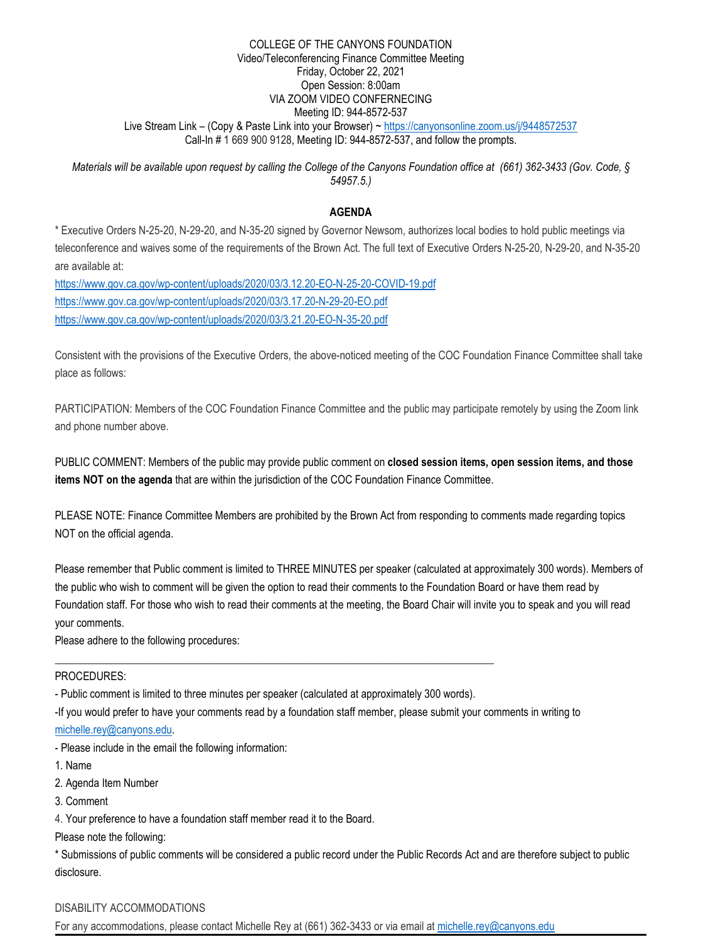#### COLLEGE OF THE CANYONS FOUNDATION Video/Teleconferencing Finance Committee Meeting Friday, October 22, 2021 Open Session: 8:00am VIA ZOOM VIDEO CONFERNECING Meeting ID: 944-8572-537 Live Stream Link - (Copy & Paste Link into your Browser) ~<https://canyonsonline.zoom.us/j/9448572537> Call-In # 1 669 900 9128, Meeting ID: 944-8572-537, and follow the prompts.

*Materials will be available upon request by calling the College of the Canyons Foundation office at (661) 362-3433 (Gov. Code, § 54957.5.)*

## **AGENDA**

\* Executive Orders N-25-20, N-29-20, and N-35-20 signed by Governor Newsom, authorizes local bodies to hold public meetings via teleconference and waives some of the requirements of the Brown Act. The full text of Executive Orders N-25-20, N-29-20, and N-35-20 are available at:

<https://www.gov.ca.gov/wp-content/uploads/2020/03/3.12.20-EO-N-25-20-COVID-19.pdf> <https://www.gov.ca.gov/wp-content/uploads/2020/03/3.17.20-N-29-20-EO.pdf> <https://www.gov.ca.gov/wp-content/uploads/2020/03/3.21.20-EO-N-35-20.pdf>

Consistent with the provisions of the Executive Orders, the above-noticed meeting of the COC Foundation Finance Committee shall take place as follows:

PARTICIPATION: Members of the COC Foundation Finance Committee and the public may participate remotely by using the Zoom link and phone number above.

PUBLIC COMMENT: Members of the public may provide public comment on **closed session items, open session items, and those items NOT on the agenda** that are within the jurisdiction of the COC Foundation Finance Committee.

PLEASE NOTE: Finance Committee Members are prohibited by the Brown Act from responding to comments made regarding topics NOT on the official agenda.

Please remember that Public comment is limited to THREE MINUTES per speaker (calculated at approximately 300 words). Members of the public who wish to comment will be given the option to read their comments to the Foundation Board or have them read by Foundation staff. For those who wish to read their comments at the meeting, the Board Chair will invite you to speak and you will read your comments.

Please adhere to the following procedures:

## PROCEDURES:

- Public comment is limited to three minutes per speaker (calculated at approximately 300 words).

\_\_\_\_\_\_\_\_\_\_\_\_\_\_\_\_\_\_\_\_\_\_\_\_\_\_\_\_\_\_\_\_\_\_\_\_\_\_\_\_\_\_\_\_\_\_\_\_\_\_\_\_\_\_\_\_\_\_\_\_\_\_\_\_\_\_\_\_\_\_\_\_\_\_\_\_\_\_\_\_\_

-If you would prefer to have your comments read by a foundation staff member, please submit your comments in writing to

[michelle.rey@canyons.edu.](mailto:michelle.rey@canyons.edu)

- Please include in the email the following information:

1. Name

2. Agenda Item Number

3. Comment

4. Your preference to have a foundation staff member read it to the Board.

Please note the following:

\* Submissions of public comments will be considered a public record under the Public Records Act and are therefore subject to public disclosure.

# DISABILITY ACCOMMODATIONS

For any accommodations, please contact Michelle Rey at (661) 362-3433 or via email at [michelle.rey@canyons.edu](mailto:michelle.rey@canyons.edu)